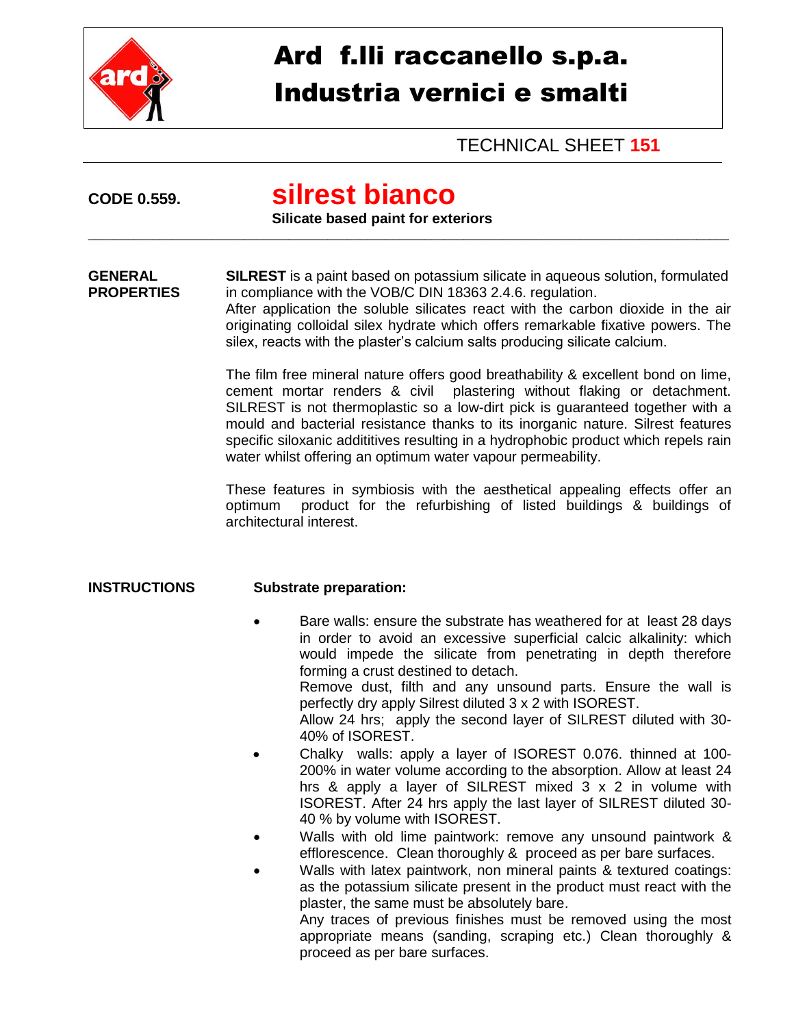

# Ard f.lli raccanello s.p.a. Industria vernici e smalti

TECHNICAL SHEET **151**

## **CODE 0.559. silrest bianco**

#### **Silicate based paint for exteriors**

**GENERAL SILREST** is a paint based on potassium silicate in aqueous solution, formulated **PROPERTIES** in compliance with the VOB/C DIN 18363 2.4.6. regulation.

\_\_\_\_\_\_\_\_\_\_\_\_\_\_\_\_\_\_\_\_\_\_\_\_\_\_\_\_\_\_\_\_\_\_\_\_\_\_\_\_\_\_\_\_\_\_\_\_\_\_\_\_\_\_\_\_\_\_\_\_\_\_\_\_\_\_\_\_\_\_\_\_\_\_\_\_\_\_\_\_\_\_\_\_\_\_\_\_\_\_\_\_\_\_\_\_\_\_\_

After application the soluble silicates react with the carbon dioxide in the air originating colloidal silex hydrate which offers remarkable fixative powers. The silex, reacts with the plaster's calcium salts producing silicate calcium.

The film free mineral nature offers good breathability & excellent bond on lime, cement mortar renders & civil plastering without flaking or detachment. SILREST is not thermoplastic so a low-dirt pick is guaranteed together with a mould and bacterial resistance thanks to its inorganic nature. Silrest features specific siloxanic addititives resulting in a hydrophobic product which repels rain water whilst offering an optimum water vapour permeability.

These features in symbiosis with the aesthetical appealing effects offer an optimum product for the refurbishing of listed buildings & buildings of architectural interest.

#### **INSTRUCTIONS Substrate preparation:**

- Bare walls: ensure the substrate has weathered for at least 28 days in order to avoid an excessive superficial calcic alkalinity: which would impede the silicate from penetrating in depth therefore forming a crust destined to detach. Remove dust, filth and any unsound parts. Ensure the wall is perfectly dry apply Silrest diluted 3 x 2 with ISOREST. Allow 24 hrs; apply the second layer of SILREST diluted with 30- 40% of ISOREST.
- Chalky walls: apply a layer of ISOREST 0.076. thinned at 100- 200% in water volume according to the absorption. Allow at least 24 hrs & apply a layer of SILREST mixed 3 x 2 in volume with ISOREST. After 24 hrs apply the last layer of SILREST diluted 30- 40 % by volume with ISOREST.
- Walls with old lime paintwork: remove any unsound paintwork & efflorescence. Clean thoroughly & proceed as per bare surfaces.
	- Walls with latex paintwork, non mineral paints & textured coatings: as the potassium silicate present in the product must react with the plaster, the same must be absolutely bare.

Any traces of previous finishes must be removed using the most appropriate means (sanding, scraping etc.) Clean thoroughly & proceed as per bare surfaces.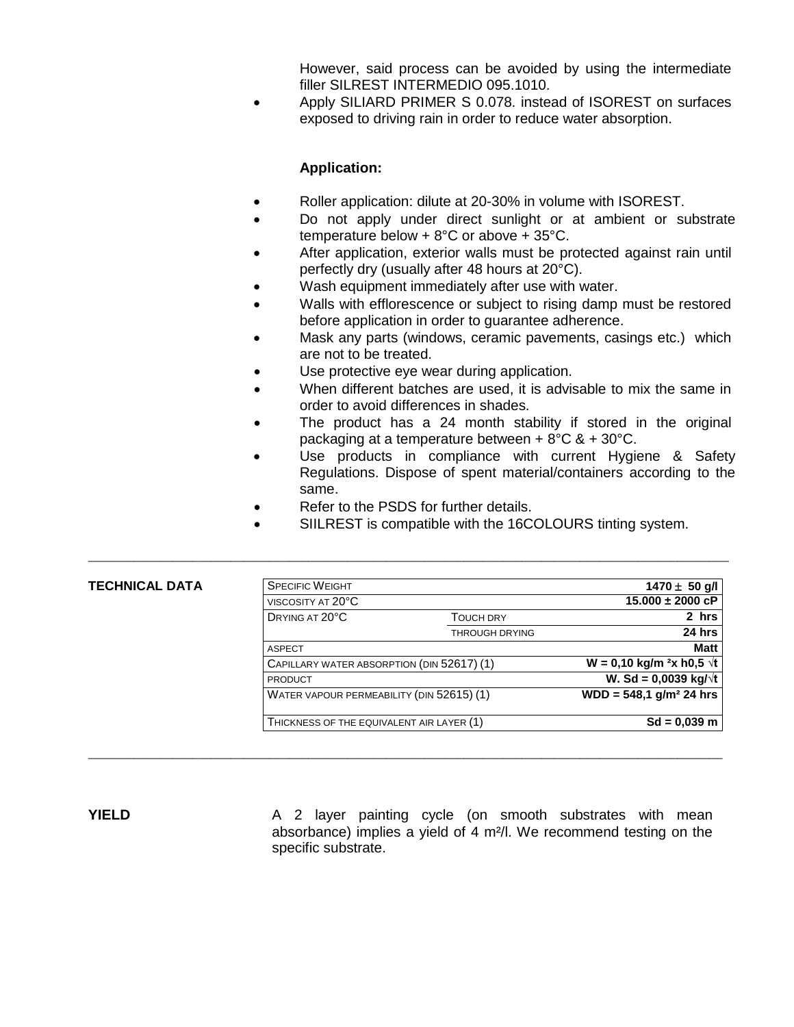However, said process can be avoided by using the intermediate filler SILREST INTERMEDIO 095.1010.

 Apply SILIARD PRIMER S 0.078. instead of ISOREST on surfaces exposed to driving rain in order to reduce water absorption.

#### **Application:**

- Roller application: dilute at 20-30% in volume with ISOREST.
- Do not apply under direct sunlight or at ambient or substrate temperature below + 8°C or above + 35°C.
- After application, exterior walls must be protected against rain until perfectly dry (usually after 48 hours at 20°C).
- Wash equipment immediately after use with water.
- Walls with efflorescence or subject to rising damp must be restored before application in order to guarantee adherence.
- Mask any parts (windows, ceramic pavements, casings etc.) which are not to be treated.
- Use protective eye wear during application.
- When different batches are used, it is advisable to mix the same in order to avoid differences in shades.
- The product has a 24 month stability if stored in the original packaging at a temperature between + 8°C & + 30°C.
- Use products in compliance with current Hygiene & Safety Regulations. Dispose of spent material/containers according to the same.
- Refer to the PSDS for further details.

\_\_\_\_\_\_\_\_\_\_\_\_\_\_\_\_\_\_\_\_\_\_\_\_\_\_\_\_\_\_\_\_\_\_\_\_\_\_\_\_\_\_\_\_\_\_\_\_\_\_\_\_\_\_\_\_\_\_\_\_\_\_\_\_\_\_\_\_\_\_\_\_\_\_\_\_\_\_\_\_\_\_\_\_\_\_\_\_\_\_\_\_\_\_\_\_\_\_\_

SIILREST is compatible with the 16COLOURS tinting system.

#### **TECHNICAL DATA**

| <b>SPECIFIC WEIGHT</b>                     |                       | $1470 \pm 50$ g/l<br>$15.000 \pm 2000$ cP |
|--------------------------------------------|-----------------------|-------------------------------------------|
| VISCOSITY AT 20°C                          |                       |                                           |
| DRYING AT 20°C                             | <b>TOUCH DRY</b>      | 2 hrs                                     |
|                                            | <b>THROUGH DRYING</b> | 24 hrs                                    |
| <b>ASPECT</b>                              |                       | <b>Matt</b>                               |
| CAPILLARY WATER ABSORPTION (DIN 52617) (1) |                       | $W = 0,10$ kg/m <sup>2</sup> x h0,5 √t    |
| <b>PRODUCT</b>                             |                       | W. Sd = $0,0039$ kg/ $\sqrt{t}$           |
| WATER VAPOUR PERMEABILITY (DIN 52615) (1)  |                       | $WDD = 548.1$ g/m <sup>2</sup> 24 hrs     |
| THICKNESS OF THE EQUIVALENT AIR LAYER (1)  |                       | $Sd = 0,039$ m                            |

**YIELD** A 2 layer painting cycle (on smooth substrates with mean absorbance) implies a yield of 4 m²/l. We recommend testing on the specific substrate.

 $\_$  ,  $\_$  ,  $\_$  ,  $\_$  ,  $\_$  ,  $\_$  ,  $\_$  ,  $\_$  ,  $\_$  ,  $\_$  ,  $\_$  ,  $\_$  ,  $\_$  ,  $\_$  ,  $\_$  ,  $\_$  ,  $\_$  ,  $\_$  ,  $\_$  ,  $\_$  ,  $\_$  ,  $\_$  ,  $\_$  ,  $\_$  ,  $\_$  ,  $\_$  ,  $\_$  ,  $\_$  ,  $\_$  ,  $\_$  ,  $\_$  ,  $\_$  ,  $\_$  ,  $\_$  ,  $\_$  ,  $\_$  ,  $\_$  ,